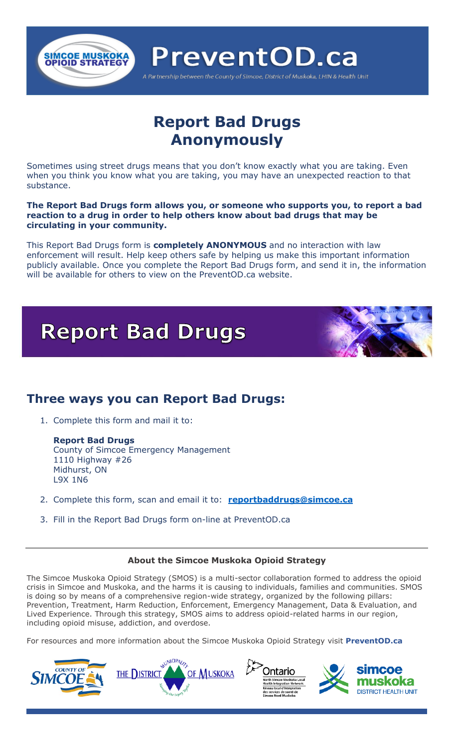

# **Report Bad Drugs Anonymously**

Sometimes using street drugs means that you don't know exactly what you are taking. Even when you think you know what you are taking, you may have an unexpected reaction to that substance.

**The Report Bad Drugs form allows you, or someone who supports you, to report a bad reaction to a drug in order to help others know about bad drugs that may be circulating in your community.** 

This Report Bad Drugs form is **completely ANONYMOUS** and no interaction with law enforcement will result. Help keep others safe by helping us make this important information publicly available. Once you complete the Report Bad Drugs form, and send it in, the information will be available for others to view on the PreventOD.ca website.



### **Three ways you can Report Bad Drugs:**

1. Complete this form and mail it to:

**Report Bad Drugs** County of Simcoe Emergency Management 1110 Highway #26 Midhurst, ON L9X 1N6

- 2. Complete this form, scan and email it to: **[reportbaddrugs@simcoe.ca](mailto:reportbaddrugs@simcoe.ca)**
- 3. Fill in the Report Bad Drugs form on-line at PreventOD.ca

#### **About the Simcoe Muskoka Opioid Strategy**

The Simcoe Muskoka Opioid Strategy (SMOS) is a multi-sector collaboration formed to address the opioid crisis in Simcoe and Muskoka, and the harms it is causing to individuals, families and communities. SMOS is doing so by means of a comprehensive region-wide strategy, organized by the following pillars: Prevention, Treatment, Harm Reduction, Enforcement, Emergency Management, Data & Evaluation, and Lived Experience. Through this strategy, SMOS aims to address opioid-related harms in our region, including opioid misuse, addiction, and overdose.

For resources and more information about the Simcoe Muskoka Opioid Strategy visit **PreventOD.ca**